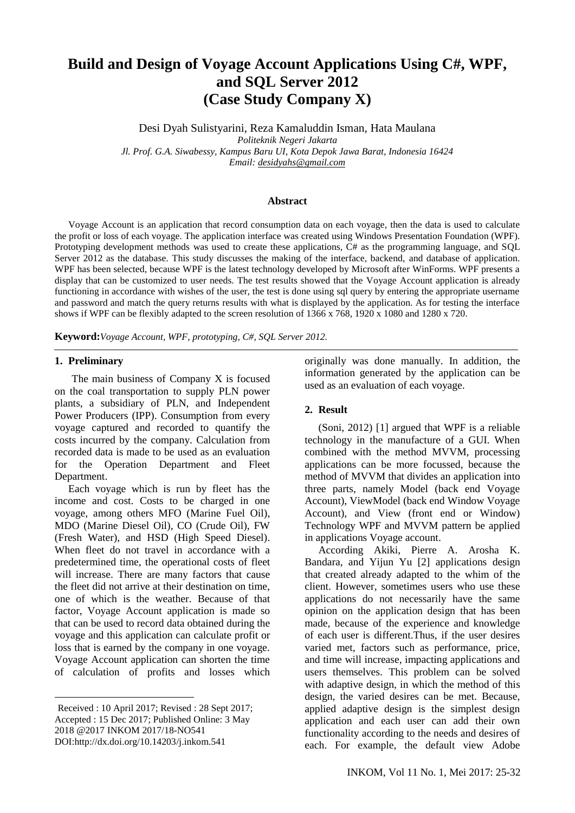# **Build and Design of Voyage Account Applications Using C#, WPF, and SQL Server 2012 (Case Study Company X)**

Desi Dyah Sulistyarini, Reza Kamaluddin Isman, Hata Maulana *Politeknik Negeri Jakarta Jl. Prof. G.A. Siwabessy, Kampus Baru UI, Kota Depok Jawa Barat, Indonesia 16424 Email: [desidyahs@gmail.com](mailto:desidyahs@gmail.com)*

### **Abstract**

Voyage Account is an application that record consumption data on each voyage, then the data is used to calculate the profit or loss of each voyage. The application interface was created using Windows Presentation Foundation (WPF). Prototyping development methods was used to create these applications, C# as the programming language, and SQL Server 2012 as the database. This study discusses the making of the interface, backend, and database of application. WPF has been selected, because WPF is the latest technology developed by Microsoft after WinForms. WPF presents a display that can be customized to user needs. The test results showed that the Voyage Account application is already functioning in accordance with wishes of the user, the test is done using sql query by entering the appropriate username and password and match the query returns results with what is displayed by the application. As for testing the interface shows if WPF can be flexibly adapted to the screen resolution of 1366 x 768, 1920 x 1080 and 1280 x 720.

**Keyword:***Voyage Account, WPF*, *prototyping, C#, SQL Server 2012.*

### **1. Preliminary**

**.** 

The main business of Company  $X$  is focused on the coal transportation to supply PLN power plants, a subsidiary of PLN, and Independent Power Producers (IPP). Consumption from every voyage captured and recorded to quantify the costs incurred by the company. Calculation from recorded data is made to be used as an evaluation for the Operation Department and Fleet Department.

Each voyage which is run by fleet has the income and cost. Costs to be charged in one voyage, among others MFO (Marine Fuel Oil), MDO (Marine Diesel Oil), CO (Crude Oil), FW (Fresh Water), and HSD (High Speed Diesel). When fleet do not travel in accordance with a predetermined time, the operational costs of fleet will increase. There are many factors that cause the fleet did not arrive at their destination on time, one of which is the weather. Because of that factor, Voyage Account application is made so that can be used to record data obtained during the voyage and this application can calculate profit or loss that is earned by the company in one voyage. Voyage Account application can shorten the time of calculation of profits and losses which

<sup>1</sup>Received : 10 April 2017; Revised : 28 Sept 2017; Accepted : 15 Dec 2017; Published Online: 3 May 2018 @2017 INKOM 2017/18-NO541 DOI:http://dx.doi.org/10.14203/j.inkom.541

originally was done manually. In addition, the information generated by the application can be used as an evaluation of each voyage.

#### **2. Result**

(Soni, 2012) [1] argued that WPF is a reliable technology in the manufacture of a GUI. When combined with the method MVVM, processing applications can be more focussed, because the method of MVVM that divides an application into three parts, namely Model (back end Voyage Account), ViewModel (back end Window Voyage Account), and View (front end or Window) Technology WPF and MVVM pattern be applied in applications Voyage account.

According Akiki, Pierre A. Arosha K. Bandara, and Yijun Yu [2] applications design that created already adapted to the whim of the client. However, sometimes users who use these applications do not necessarily have the same opinion on the application design that has been made, because of the experience and knowledge of each user is different.Thus, if the user desires varied met, factors such as performance, price, and time will increase, impacting applications and users themselves. This problem can be solved with adaptive design, in which the method of this design, the varied desires can be met. Because, applied adaptive design is the simplest design application and each user can add their own functionality according to the needs and desires of each. For example, the default view Adobe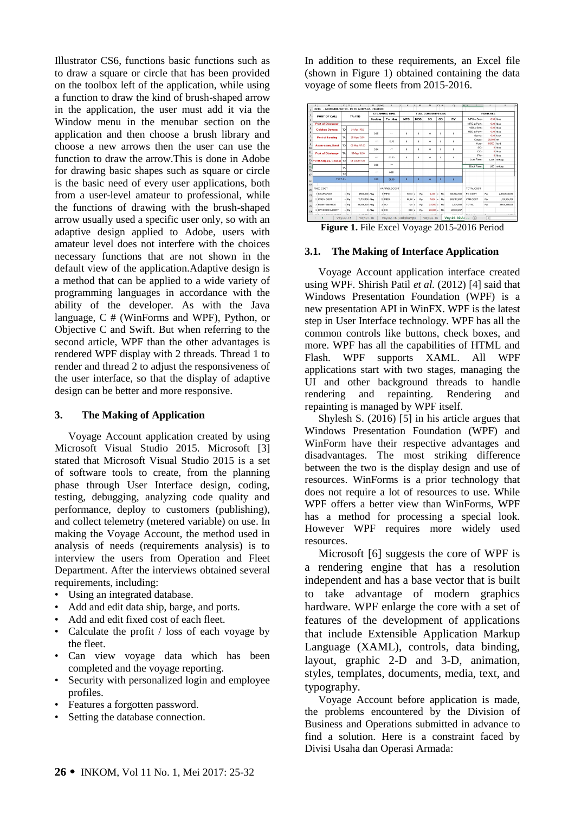Illustrator CS6, functions basic functions such as to draw a square or circle that has been provided on the toolbox left of the application, while using a function to draw the kind of brush-shaped arrow in the application, the user must add it via the Window menu in the menubar section on the application and then choose a brush library and choose a new arrows then the user can use the function to draw the arrow.This is done in Adobe for drawing basic shapes such as square or circle is the basic need of every user applications, both from a user-level amateur to professional, while the functions of drawing with the brush-shaped arrow usually used a specific user only, so with an adaptive design applied to Adobe, users with amateur level does not interfere with the choices necessary functions that are not shown in the default view of the application.Adaptive design is a method that can be applied to a wide variety of programming languages in accordance with the ability of the developer. As with the Java language, C # (WinForms and WPF), Python, or Objective C and Swift. But when referring to the second article, WPF than the other advantages is rendered WPF display with 2 threads. Thread 1 to render and thread 2 to adjust the responsiveness of the user interface, so that the display of adaptive design can be better and more responsive.

## **3. The Making of Application**

Voyage Account application created by using Microsoft Visual Studio 2015. Microsoft [3] stated that Microsoft Visual Studio 2015 is a set of software tools to create, from the planning phase through User Interface design, coding, testing, debugging, analyzing code quality and performance, deploy to customers (publishing), and collect telemetry (metered variable) on use. In making the Voyage Account, the method used in analysis of needs (requirements analysis) is to interview the users from Operation and Fleet Department. After the interviews obtained several requirements, including:

- Using an integrated database.
- Add and edit data ship, barge, and ports.
- Add and edit fixed cost of each fleet.
- Calculate the profit / loss of each voyage by the fleet.
- Can view voyage data which has been completed and the voyage reporting.
- Security with personalized login and employee profiles.
- Features a forgotten password.
- Setting the database connection.

In addition to these requirements, an Excel file (shown in Figure 1) obtained containing the data voyage of some fleets from 2015-2016.



**Figure 1.** File Excel Voyage 2015-2016 Period

## **3.1. The Making of Interface Application**

Voyage Account application interface created using WPF. Shirish Patil *et al.* (2012) [4] said that Windows Presentation Foundation (WPF) is a new presentation API in WinFX. WPF is the latest step in User Interface technology. WPF has all the common controls like buttons, check boxes, and more. WPF has all the capabilities of HTML and Flash. WPF supports XAML. All WPF applications start with two stages, managing the UI and other background threads to handle rendering and repainting. Rendering and repainting is managed by WPF itself.

Shylesh S. (2016) [5] in his article argues that Windows Presentation Foundation (WPF) and WinForm have their respective advantages and disadvantages. The most striking difference between the two is the display design and use of resources. WinForms is a prior technology that does not require a lot of resources to use. While WPF offers a better view than WinForms, WPF has a method for processing a special look. However WPF requires more widely used resources.

Microsoft [6] suggests the core of WPF is a rendering engine that has a resolution independent and has a base vector that is built to take advantage of modern graphics hardware. WPF enlarge the core with a set of features of the development of applications that include Extensible Application Markup Language (XAML), controls, data binding, layout, graphic 2-D and 3-D, animation, styles, templates, documents, media, text, and typography.

Voyage Account before application is made, the problems encountered by the Division of Business and Operations submitted in advance to find a solution. Here is a constraint faced by Divisi Usaha dan Operasi Armada: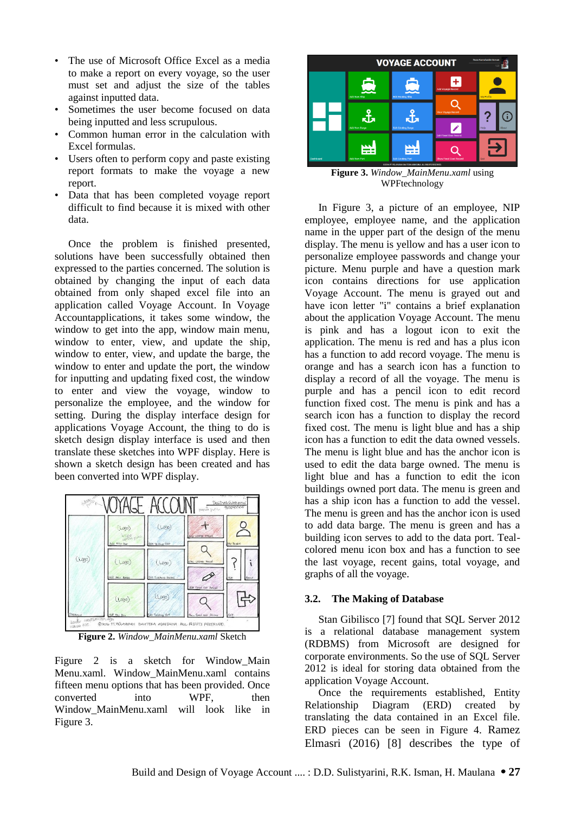- The use of Microsoft Office Excel as a media to make a report on every voyage, so the user must set and adjust the size of the tables against inputted data.
- Sometimes the user become focused on data being inputted and less scrupulous.
- Common human error in the calculation with Excel formulas.
- Users often to perform copy and paste existing report formats to make the voyage a new report.
- Data that has been completed voyage report difficult to find because it is mixed with other data.

Once the problem is finished presented, solutions have been successfully obtained then expressed to the parties concerned. The solution is obtained by changing the input of each data obtained from only shaped excel file into an application called Voyage Account. In Voyage Accountapplications, it takes some window, the window to get into the app, window main menu, window to enter, view, and update the ship, window to enter, view, and update the barge, the window to enter and update the port, the window for inputting and updating fixed cost, the window to enter and view the voyage, window to personalize the employee, and the window for setting. During the display interface design for applications Voyage Account, the thing to do is sketch design display interface is used and then translate these sketches into WPF display. Here is shown a sketch design has been created and has been converted into WPF display.



**Figure 2.** *Window\_MainMenu.xaml* Sketch

Figure 2 is a sketch for Window Main Menu.xaml. Window\_MainMenu.xaml contains fifteen menu options that has been provided. Once converted into WPF, then Window\_MainMenu.xaml will look like in Figure 3.



**Figure 3.** *Window\_MainMenu.xaml* using WPFtechnology

In Figure 3, a picture of an employee, NIP employee, employee name, and the application name in the upper part of the design of the menu display. The menu is yellow and has a user icon to personalize employee passwords and change your picture. Menu purple and have a question mark icon contains directions for use application Voyage Account. The menu is grayed out and have icon letter "i" contains a brief explanation about the application Voyage Account. The menu is pink and has a logout icon to exit the application. The menu is red and has a plus icon has a function to add record voyage. The menu is orange and has a search icon has a function to display a record of all the voyage. The menu is purple and has a pencil icon to edit record function fixed cost. The menu is pink and has a search icon has a function to display the record fixed cost. The menu is light blue and has a ship icon has a function to edit the data owned vessels. The menu is light blue and has the anchor icon is used to edit the data barge owned. The menu is light blue and has a function to edit the icon buildings owned port data. The menu is green and has a ship icon has a function to add the vessel. The menu is green and has the anchor icon is used to add data barge. The menu is green and has a building icon serves to add to the data port. Tealcolored menu icon box and has a function to see the last voyage, recent gains, total voyage, and graphs of all the voyage.

## **3.2. The Making of Database**

Stan Gibilisco [7] found that SQL Server 2012 is a relational database management system (RDBMS) from Microsoft are designed for corporate environments. So the use of SQL Server 2012 is ideal for storing data obtained from the application Voyage Account.

Once the requirements established, Entity Relationship Diagram (ERD) created by translating the data contained in an Excel file. ERD pieces can be seen in Figure 4. Ramez Elmasri (2016) [8] describes the type of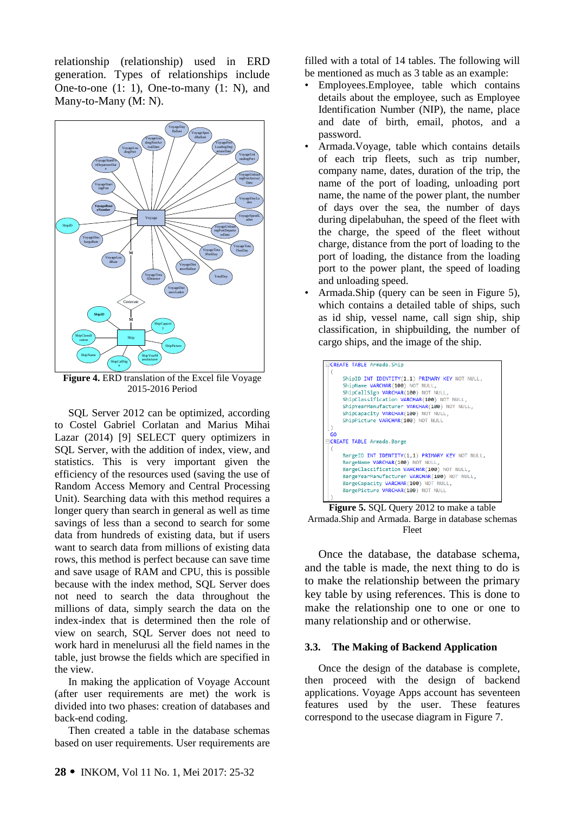relationship (relationship) used in ERD generation. Types of relationships include One-to-one (1: 1), One-to-many (1: N), and Many-to-Many (M: N).



**Figure 4.** ERD translation of the Excel file Voyage 2015-2016 Period

SQL Server 2012 can be optimized, according to Costel Gabriel Corlatan and Marius Mihai Lazar (2014) [9] SELECT query optimizers in SQL Server, with the addition of index, view, and statistics. This is very important given the efficiency of the resources used (saving the use of Random Access Memory and Central Processing Unit). Searching data with this method requires a longer query than search in general as well as time savings of less than a second to search for some data from hundreds of existing data, but if users want to search data from millions of existing data rows, this method is perfect because can save time and save usage of RAM and CPU, this is possible because with the index method, SQL Server does not need to search the data throughout the millions of data, simply search the data on the index-index that is determined then the role of view on search, SQL Server does not need to work hard in menelurusi all the field names in the table, just browse the fields which are specified in the view.

In making the application of Voyage Account (after user requirements are met) the work is divided into two phases: creation of databases and back-end coding.

Then created a table in the database schemas based on user requirements. User requirements are filled with a total of 14 tables. The following will be mentioned as much as 3 table as an example:

- Employees.Employee, table which contains details about the employee, such as Employee Identification Number (NIP), the name, place and date of birth, email, photos, and a password.
- Armada.Voyage, table which contains details of each trip fleets, such as trip number, company name, dates, duration of the trip, the name of the port of loading, unloading port name, the name of the power plant, the number of days over the sea, the number of days during dipelabuhan, the speed of the fleet with the charge, the speed of the fleet without charge, distance from the port of loading to the port of loading, the distance from the loading port to the power plant, the speed of loading and unloading speed.
- Armada.Ship (query can be seen in Figure 5), which contains a detailed table of ships, such as id ship, vessel name, call sign ship, ship classification, in shipbuilding, the number of cargo ships, and the image of the ship.



**Figure 5.** SQL Query 2012 to make a table Armada.Ship and Armada. Barge in database schemas Fleet

Once the database, the database schema, and the table is made, the next thing to do is to make the relationship between the primary key table by using references. This is done to make the relationship one to one or one to many relationship and or otherwise.

## **3.3. The Making of Backend Application**

Once the design of the database is complete, then proceed with the design of backend applications. Voyage Apps account has seventeen features used by the user. These features correspond to the usecase diagram in Figure 7.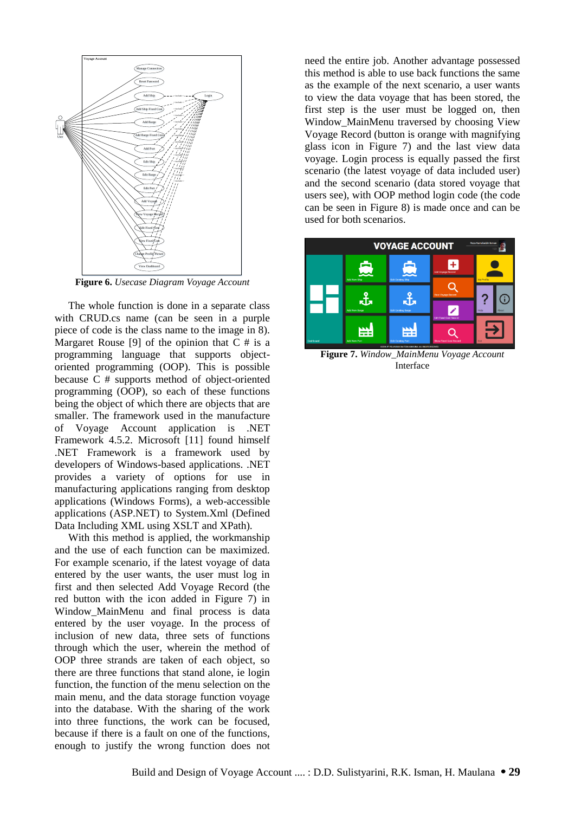

**Figure 6.** *Usecase Diagram Voyage Account*

**EXERCT FRECONSET CONSERVANT CONSERVANT**<br>
SURFACE TO THE USE CONSERVANT CONSERVANT CONSERVANT CONSERVANT CONSERVANT CONSERVANT CONSERVANT CONSERVANT CONSERVANT CONSERVATION CONSERVATION CONSERVATION CONSERVATION CONSERVAT The whole function is done in a separate class with CRUD.cs name (can be seen in a purple piece of code is the class name to the image in 8). Margaret Rouse [9] of the opinion that  $C \#$  is a programming language that supports objectoriented programming (OOP). This is possible because C # supports method of object-oriented programming (OOP), so each of these functions being the object of which there are objects that are smaller. The framework used in the manufacture of Voyage Account application is .NET Framework 4.5.2. Microsoft [11] found himself .NET Framework is a framework used by developers of Windows-based applications. .NET provides a variety of options for use in manufacturing applications ranging from desktop applications (Windows Forms), a web-accessible applications (ASP.NET) to System.Xml (Defined Data Including XML using XSLT and XPath)*.*

With this method is applied, the workmanship and the use of each function can be maximized. For example scenario, if the latest voyage of data entered by the user wants, the user must log in first and then selected Add Voyage Record (the red button with the icon added in Figure 7) in Window\_MainMenu and final process is data entered by the user voyage. In the process of inclusion of new data, three sets of functions through which the user, wherein the method of OOP three strands are taken of each object, so there are three functions that stand alone, ie login function, the function of the menu selection on the main menu, and the data storage function voyage into the database. With the sharing of the work into three functions, the work can be focused, because if there is a fault on one of the functions, enough to justify the wrong function does not

need the entire job. Another advantage possessed this method is able to use back functions the same as the example of the next scenario, a user wants to view the data voyage that has been stored, the first step is the user must be logged on, then Window\_MainMenu traversed by choosing View Voyage Record (button is orange with magnifying glass icon in Figure 7) and the last view data voyage. Login process is equally passed the first scenario (the latest voyage of data included user) and the second scenario (data stored voyage that users see), with OOP method login code (the code can be seen in Figure 8) is made once and can be used for both scenarios.



**Figure 7.** *Window\_MainMenu Voyage Account* Interface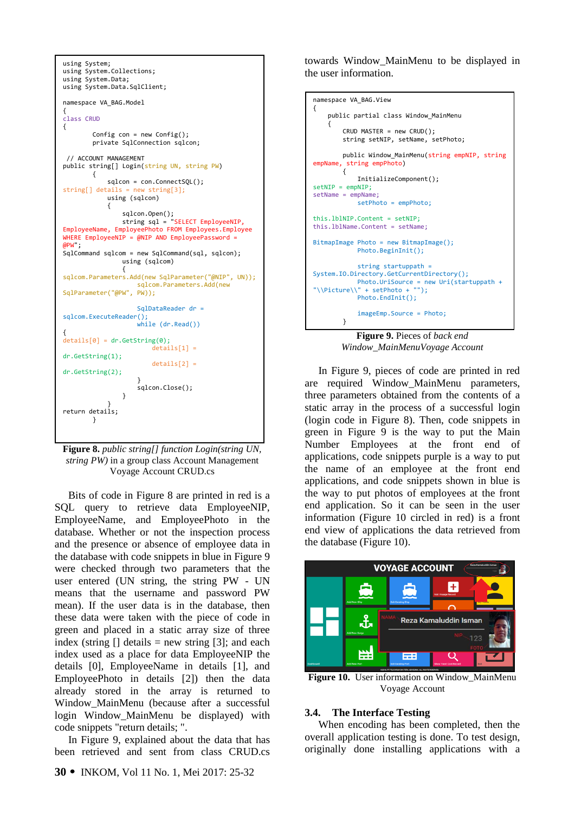```
using System;
using System.Collections;
using System.Data;
using System.Data.SqlClient;
namespace VA_BAG.Model
{
class CRUD
{
       Config con = new Config();
        private SqlConnection sqlcon;
 // ACCOUNT MANAGEMENT
public string[] Login(string UN, string PW)
        {
            sqlcon = con.ConnectSQL();
string[] details = new string[3];
            using (sqlcon)
            {
 sqlcon.Open();
 string sql = "SELECT EmployeeNIP, 
EmployeeName, EmployeePhoto FROM Employees.Employee 
WHERE EmployeeNIP = @NIP AND EmployeePassword = 
ADW;
SqlCommand sqlcom = new SqlCommand(sql, sqlcon);
                using (sqlcom)
 {
sqlcom.Parameters.Add(new SqlParameter("@NIP", UN));
                   sqlcom.Parameters.Add(new 
SqlParameter("@PW", PW));
                   SqlDataReader dr = 
sqlcom.ExecuteReader();
                   while (dr.Read())
{
details[0] = dr.GetString(0);
                      details[1] =dr.GetString(1);
                      details[2] =dr.GetString(2);
 }
                  sqlcon.Close();
 }
 }
return details;
        }
```
**Figure 8.** *public string[] function Login(string UN, string PW)* in a group class Account Management Voyage Account CRUD.cs

Bits of code in Figure 8 are printed in red is a SQL query to retrieve data EmployeeNIP, EmployeeName, and EmployeePhoto in the database. Whether or not the inspection process and the presence or absence of employee data in the database with code snippets in blue in Figure 9 were checked through two parameters that the user entered (UN string, the string PW - UN means that the username and password PW mean). If the user data is in the database, then these data were taken with the piece of code in green and placed in a static array size of three index (string  $\lceil \cdot \rceil$  details = new string  $\lceil 3 \rceil$ ; and each index used as a place for data EmployeeNIP the details [0], EmployeeName in details [1], and EmployeePhoto in details [2]) then the data already stored in the array is returned to Window\_MainMenu (because after a successful login Window\_MainMenu be displayed) with code snippets "return details; ".

In Figure 9, explained about the data that has been retrieved and sent from class CRUD.cs towards Window\_MainMenu to be displayed in the user information.

```
Figure 9. Pieces of back end 
namespace VA_BAG.View
{ 
     public partial class Window_MainMenu
\{ \{ \} CRUD MASTER = new CRUD();
         string setNIP, setName, setPhoto;
         public Window_MainMenu(string empNIP, string 
empName, string empPhoto)
         {
             InitializeComponent(); 
setNIP = empNIP;setName = empName;
             setPhoto = empPhoto;
this.lblNIP.Content = setNIP;
this.lblName.Content = setName;
BitmapImage Photo = new BitmapImage();
             Photo.BeginInit();
             string startuppath = 
System.IO.Directory.GetCurrentDirectory();
             Photo.UriSource = new Uri(startuppath + 
"\\Picture\\" + setPhoto + "");
             Photo.EndInit();
             imageEmp.Source = Photo;
         }
```
*Window\_MainMenuVoyage Account*

In Figure 9, pieces of code are printed in red are required Window\_MainMenu parameters, three parameters obtained from the contents of a static array in the process of a successful login (login code in Figure 8). Then, code snippets in green in Figure 9 is the way to put the Main Number Employees at the front end of applications, code snippets purple is a way to put the name of an employee at the front end applications, and code snippets shown in blue is the way to put photos of employees at the front end application. So it can be seen in the user information (Figure 10 circled in red) is a front end view of applications the data retrieved from the database (Figure 10).



**Figure 10.** User information on Window\_MainMenu Voyage Account

## **3.4. The Interface Testing**

When encoding has been completed, then the overall application testing is done. To test design, originally done installing applications with a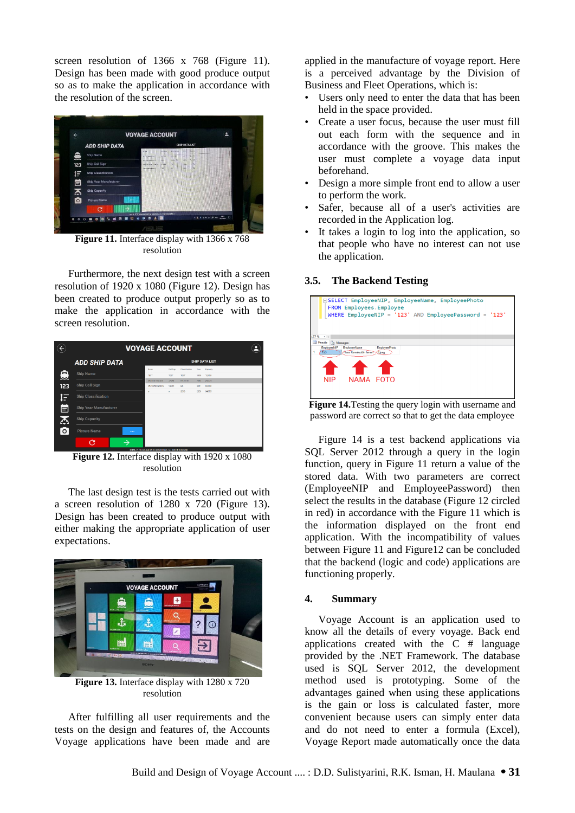screen resolution of 1366 x 768 (Figure 11). Design has been made with good produce output so as to make the application in accordance with the resolution of the screen.



**Figure 11.** Interface display with 1366 x 768 resolution

Furthermore, the next design test with a screen resolution of 1920 x 1080 (Figure 12). Design has been created to produce output properly so as to make the application in accordance with the screen resolution.

|           | <b>VOYAGE ACCOUNT</b>           |                                                       |              |                |       |          |
|-----------|---------------------------------|-------------------------------------------------------|--------------|----------------|-------|----------|
|           | <b>ADD SHIP DATA</b>            | <b>SHIP DATA LIST</b>                                 |              |                |       |          |
|           |                                 | Name                                                  | Call Sign    | Clevelfection  | Year. | Capacita |
| Ξ         | <b>Ship Name</b>                | TEST                                                  | TEST         | TEST           | 1930  | 17,930   |
| 123       | Ship Call Sign                  | <b>MV Inter Bancer</b>                                | 325MO        | <b>MCA BKI</b> | 2013  | 28.374   |
|           |                                 | <b>MV Swifter Ranges</b>                              | <b>V7140</b> | RK.            | 2011  | 20,000   |
| $\bullet$ | <b>Ship Classification</b>      | $\mathbf{v}$                                          | $\mathbf{w}$ | 2013           | 2800  | 34, 555  |
| Ë         | <b>Ship Year Manufacturer</b>   |                                                       |              |                |       |          |
| 忑         | <b>Ship Capacity</b>            |                                                       |              |                |       |          |
| $\circ$   | <b>Picture Name</b><br>$\cdots$ |                                                       |              |                |       |          |
|           | G                               | ROUSE PT PLASSING BRITTIN ACHEEMA, ALL RESIDENTION IN |              |                |       |          |

**Figure 12.** Interface display with 1920 x 1080 resolution

The last design test is the tests carried out with a screen resolution of 1280 x 720 (Figure 13). Design has been created to produce output with either making the appropriate application of user expectations.



**Figure 13.** Interface display with 1280 x 720 resolution

After fulfilling all user requirements and the tests on the design and features of, the Accounts Voyage applications have been made and are applied in the manufacture of voyage report. Here is a perceived advantage by the Division of Business and Fleet Operations, which is:

- Users only need to enter the data that has been held in the space provided.
- Create a user focus, because the user must fill out each form with the sequence and in accordance with the groove. This makes the user must complete a voyage data input beforehand.
- Design a more simple front end to allow a user to perform the work.
- Safer, because all of a user's activities are recorded in the Application log.
- It takes a login to log into the application, so that people who have no interest can not use the application.

## **3.5. The Backend Testing**



**Figure 14.**Testing the query login with username and password are correct so that to get the data employee

Figure 14 is a test backend applications via SQL Server 2012 through a query in the login function, query in Figure 11 return a value of the stored data. With two parameters are correct (EmployeeNIP and EmployeePassword) then select the results in the database (Figure 12 circled in red) in accordance with the Figure 11 which is the information displayed on the front end application. With the incompatibility of values between Figure 11 and Figure12 can be concluded that the backend (logic and code) applications are functioning properly.

## **4. Summary**

Voyage Account is an application used to know all the details of every voyage. Back end applications created with the C # language provided by the .NET Framework. The database used is SQL Server 2012, the development method used is prototyping. Some of the advantages gained when using these applications is the gain or loss is calculated faster, more convenient because users can simply enter data and do not need to enter a formula (Excel), Voyage Report made automatically once the data